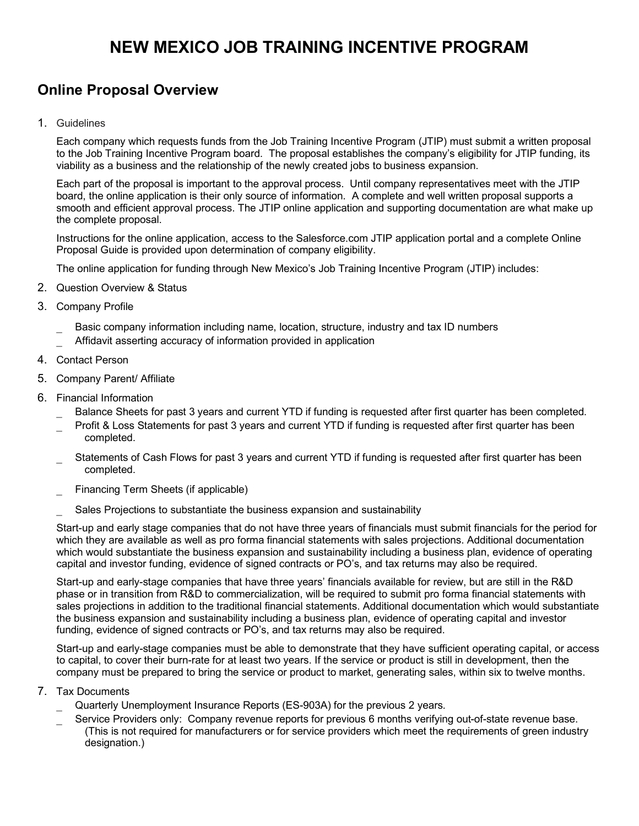## **NEW MEXICO JOB TRAINING INCENTIVE PROGRAM**

## **Online Proposal Overview**

1. Guidelines

Each company which requests funds from the Job Training Incentive Program (JTIP) must submit a written proposal to the Job Training Incentive Program board. The proposal establishes the company's eligibility for JTIP funding, its viability as a business and the relationship of the newly created jobs to business expansion.

Each part of the proposal is important to the approval process. Until company representatives meet with the JTIP board, the online application is their only source of information. A complete and well written proposal supports a smooth and efficient approval process. The JTIP online application and supporting documentation are what make up the complete proposal.

Instructions for the online application, access to the Salesforce.com JTIP application portal and a complete Online Proposal Guide is provided upon determination of company eligibility.

The online application for funding through New Mexico's Job Training Incentive Program (JTIP) includes:

- 2. Question Overview & Status
- 3. Company Profile
	- Basic company information including name, location, structure, industry and tax ID numbers
	- Affidavit asserting accuracy of information provided in application
- 4. Contact Person
- 5. Company Parent/ Affiliate
- 6. Financial Information
	- Balance Sheets for past 3 years and current YTD if funding is requested after first quarter has been completed.
	- Profit & Loss Statements for past 3 years and current YTD if funding is requested after first quarter has been completed.
	- Statements of Cash Flows for past 3 years and current YTD if funding is requested after first quarter has been completed.
	- Financing Term Sheets (if applicable)
	- Sales Projections to substantiate the business expansion and sustainability

Start-up and early stage companies that do not have three years of financials must submit financials for the period for which they are available as well as pro forma financial statements with sales projections. Additional documentation which would substantiate the business expansion and sustainability including a business plan, evidence of operating capital and investor funding, evidence of signed contracts or PO's, and tax returns may also be required.

Start-up and early-stage companies that have three years' financials available for review, but are still in the R&D phase or in transition from R&D to commercialization, will be required to submit pro forma financial statements with sales projections in addition to the traditional financial statements. Additional documentation which would substantiate the business expansion and sustainability including a business plan, evidence of operating capital and investor funding, evidence of signed contracts or PO's, and tax returns may also be required.

Start-up and early-stage companies must be able to demonstrate that they have sufficient operating capital, or access to capital, to cover their burn-rate for at least two years. If the service or product is still in development, then the company must be prepared to bring the service or product to market, generating sales, within six to twelve months.

- 7. Tax Documents
	- Quarterly Unemployment Insurance Reports (ES-903A) for the previous 2 years.
	- Service Providers only: Company revenue reports for previous 6 months verifying out-of-state revenue base. (This is not required for manufacturers or for service providers which meet the requirements of green industry designation.)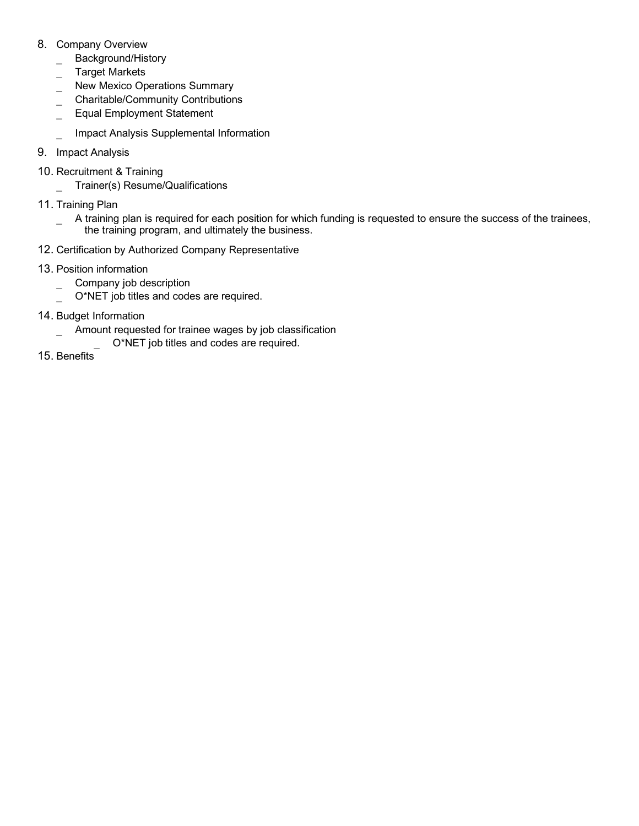- 8. Company Overview
	- Background/History
	- \_ Target Markets
	- New Mexico Operations Summary
	- \_ Charitable/Community Contributions
	- \_ Equal Employment Statement

Impact Analysis Supplemental Information

- 9. Impact Analysis
- 10. Recruitment & Training

\_ Trainer(s) Resume/Qualifications

- 11. Training Plan
	- A training plan is required for each position for which funding is requested to ensure the success of the trainees, the training program, and ultimately the business.
- 12. Certification by Authorized Company Representative
- 13. Position information
	- \_ Company job description
	- O\*NET job titles and codes are required.
- 14. Budget Information
	- Amount requested for trainee wages by job classification
		- O\*NET job titles and codes are required.
- 15. Benefits